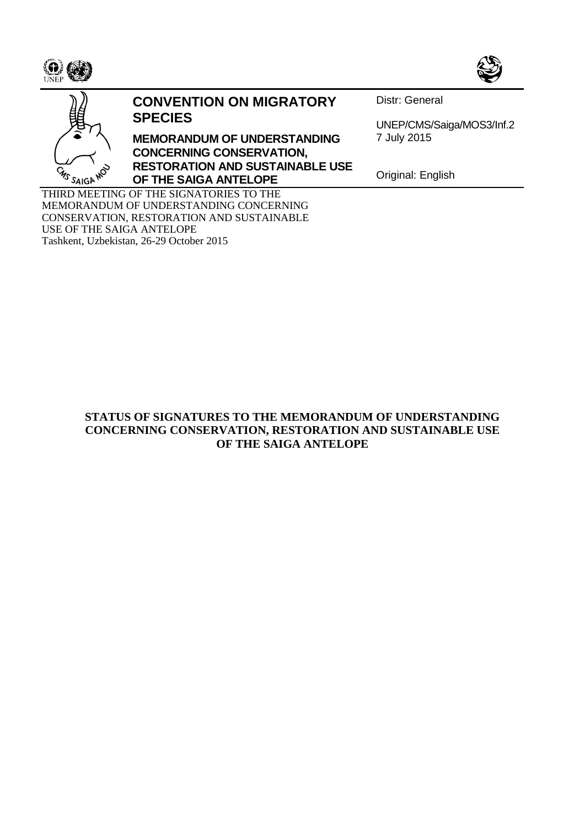





## **CONVENTION ON MIGRATORY SPECIES**

**MEMORANDUM OF UNDERSTANDING CONCERNING CONSERVATION, RESTORATION AND SUSTAINABLE USE OF THE SAIGA ANTELOPE**

Distr: General

UNEP/CMS/Saiga/MOS3/Inf.2 7 July 2015

Original: English

THIRD MEETING OF THE SIGNATORIES TO THE MEMORANDUM OF UNDERSTANDING CONCERNING CONSERVATION, RESTORATION AND SUSTAINABLE USE OF THE SAIGA ANTELOPE Tashkent, Uzbekistan, 26-29 October 2015

## **STATUS OF SIGNATURES TO THE MEMORANDUM OF UNDERSTANDING CONCERNING CONSERVATION, RESTORATION AND SUSTAINABLE USE OF THE SAIGA ANTELOPE**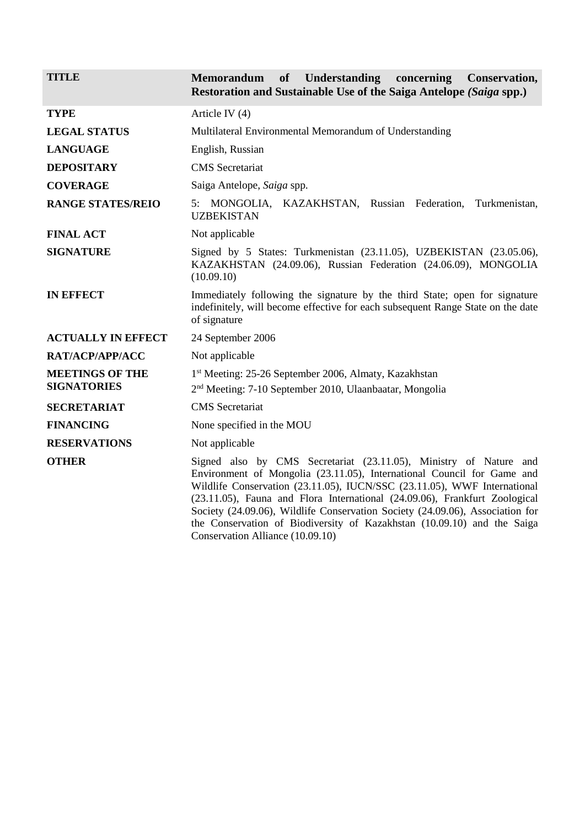## **TITLE Memorandum of Understanding concerning Conservation, Restoration and Sustainable Use of the Saiga Antelope** *(Saiga* **spp.)**

| <b>TYPE</b>                                  | Article IV $(4)$                                                                                                                                                                                                                                                                                                                                                                                                                                                                                      |
|----------------------------------------------|-------------------------------------------------------------------------------------------------------------------------------------------------------------------------------------------------------------------------------------------------------------------------------------------------------------------------------------------------------------------------------------------------------------------------------------------------------------------------------------------------------|
| <b>LEGAL STATUS</b>                          | Multilateral Environmental Memorandum of Understanding                                                                                                                                                                                                                                                                                                                                                                                                                                                |
| <b>LANGUAGE</b>                              | English, Russian                                                                                                                                                                                                                                                                                                                                                                                                                                                                                      |
| <b>DEPOSITARY</b>                            | <b>CMS</b> Secretariat                                                                                                                                                                                                                                                                                                                                                                                                                                                                                |
| <b>COVERAGE</b>                              | Saiga Antelope, Saiga spp.                                                                                                                                                                                                                                                                                                                                                                                                                                                                            |
| <b>RANGE STATES/REIO</b>                     | 5: MONGOLIA, KAZAKHSTAN, Russian Federation,<br>Turkmenistan,<br><b>UZBEKISTAN</b>                                                                                                                                                                                                                                                                                                                                                                                                                    |
| <b>FINAL ACT</b>                             | Not applicable                                                                                                                                                                                                                                                                                                                                                                                                                                                                                        |
| <b>SIGNATURE</b>                             | Signed by 5 States: Turkmenistan (23.11.05), UZBEKISTAN (23.05.06),<br>KAZAKHSTAN (24.09.06), Russian Federation (24.06.09), MONGOLIA<br>(10.09.10)                                                                                                                                                                                                                                                                                                                                                   |
| <b>IN EFFECT</b>                             | Immediately following the signature by the third State; open for signature<br>indefinitely, will become effective for each subsequent Range State on the date<br>of signature                                                                                                                                                                                                                                                                                                                         |
| <b>ACTUALLY IN EFFECT</b>                    | 24 September 2006                                                                                                                                                                                                                                                                                                                                                                                                                                                                                     |
| RAT/ACP/APP/ACC                              | Not applicable                                                                                                                                                                                                                                                                                                                                                                                                                                                                                        |
| <b>MEETINGS OF THE</b><br><b>SIGNATORIES</b> | 1st Meeting: 25-26 September 2006, Almaty, Kazakhstan<br>2 <sup>nd</sup> Meeting: 7-10 September 2010, Ulaanbaatar, Mongolia                                                                                                                                                                                                                                                                                                                                                                          |
| <b>SECRETARIAT</b>                           | <b>CMS</b> Secretariat                                                                                                                                                                                                                                                                                                                                                                                                                                                                                |
| <b>FINANCING</b>                             | None specified in the MOU                                                                                                                                                                                                                                                                                                                                                                                                                                                                             |
| <b>RESERVATIONS</b>                          | Not applicable                                                                                                                                                                                                                                                                                                                                                                                                                                                                                        |
| <b>OTHER</b>                                 | Signed also by CMS Secretariat (23.11.05), Ministry of Nature and<br>Environment of Mongolia (23.11.05), International Council for Game and<br>Wildlife Conservation (23.11.05), IUCN/SSC (23.11.05), WWF International<br>(23.11.05), Fauna and Flora International (24.09.06), Frankfurt Zoological<br>Society (24.09.06), Wildlife Conservation Society (24.09.06), Association for<br>the Conservation of Biodiversity of Kazakhstan (10.09.10) and the Saiga<br>Conservation Alliance (10.09.10) |